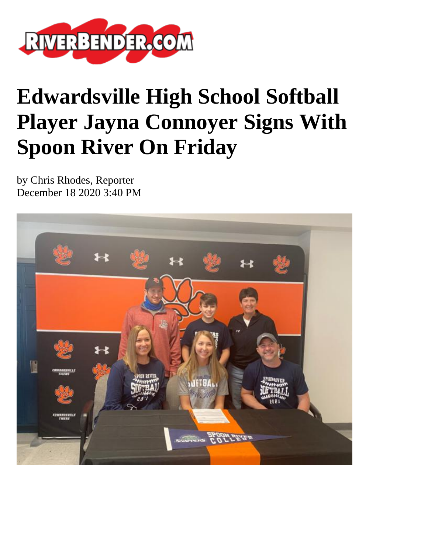

## **Edwardsville High School Softball Player Jayna Connoyer Signs With Spoon River On Friday**

by Chris Rhodes, Reporter December 18 2020 3:40 PM